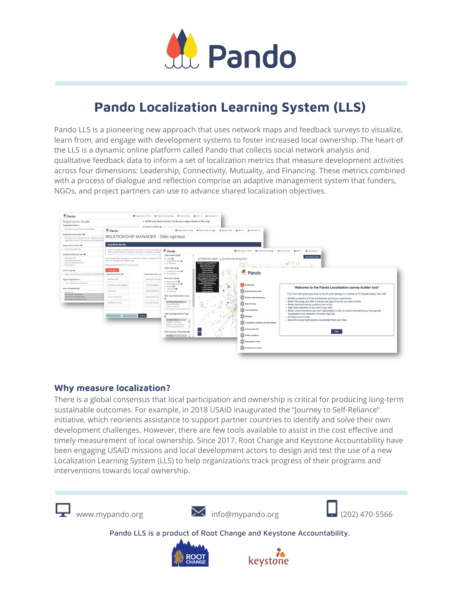

# **Pando Localization Learning System (LLS)**

Pando LLS is a pioneering new approach that uses network maps and feedback surveys to visualize, learn from, and engage with development systems to foster increased local ownership. The heart of the LLS is a dynamic online platform called Pando that collects social network analysis and qualitative feedback data to inform a set of localization metrics that measure development activities across four dimensions: Leadership, Connectivity, Mutuality, and Financing. These metrics combined with a process of dialogue and reflection comprise an adaptive management system that funders, NGOs, and project partners can use to advance shared localization objectives.



### **Why measure localization?**

There is a global consensus that local participation and ownership is critical for producing long-term sustainable outcomes. For example, in 2018 USAID inaugurated the "Journey to Self-Reliance" initiative, which reorients assistance to support partner countries to identify and solve their own development challenges. However, there are few tools available to assist in the cost effective and timely measurement of local ownership. Since 2017, Root Change and Keystone Accountability have been engaging USAID missions and local development actors to design and test the use of a new Localization Learning System (LLS) to help organizations track progress of their programs and interventions towards local ownership.